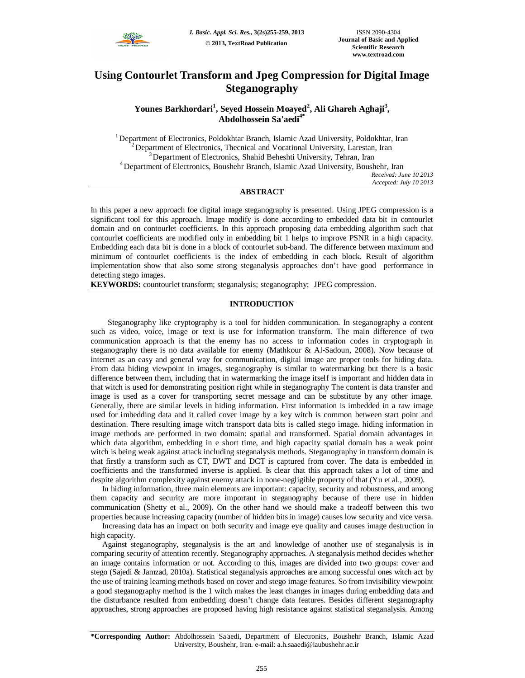

# **Using Contourlet Transform and Jpeg Compression for Digital Image Steganography**

# **Younes Barkhordari<sup>1</sup> , Seyed Hossein Moayed<sup>2</sup> , Ali Ghareh Aghaji<sup>3</sup> , Abdolhossein Sa'aedi4\***

<sup>1</sup>Department of Electronics, Poldokhtar Branch, Islamic Azad University, Poldokhtar, Iran <sup>2</sup>Department of Electronics, Thecnical and Vocational University, Larestan, Iran <sup>3</sup>Department of Electronics, Shahid Beheshti University, Tehran, Iran <sup>4</sup>Department of Electronics, Boushehr Branch, Islamic Azad University, Boushehr, Iran *Received: June 10 2013 Accepted: July 10 2013*

# **ABSTRACT**

In this paper a new approach foe digital image steganography is presented. Using JPEG compression is a significant tool for this approach. Image modify is done according to embedded data bit in contourlet domain and on contourlet coefficients. In this approach proposing data embedding algorithm such that contourlet coefficients are modified only in embedding bit 1 helps to improve PSNR in a high capacity. Embedding each data bit is done in a block of contourlet sub-band. The difference between maximum and minimum of contourlet coefficients is the index of embedding in each block. Result of algorithm implementation show that also some strong steganalysis approaches don't have good performance in detecting stego images.

**KEYWORDS:** countourlet transform; steganalysis; steganography; JPEG compression.

# **INTRODUCTION**

Steganography like cryptography is a tool for hidden communication. In steganography a content such as video, voice, image or text is use for information transform. The main difference of two communication approach is that the enemy has no access to information codes in cryptograph in steganography there is no data available for enemy (Mathkour & Al-Sadoun, 2008). Now because of internet as an easy and general way for communication, digital image are proper tools for hiding data. From data hiding viewpoint in images, steganography is similar to watermarking but there is a basic difference between them, including that in watermarking the image itself is important and hidden data in that witch is used for demonstrating position right while in steganography The content is data transfer and image is used as a cover for transporting secret message and can be substitute by any other image. Generally, there are similar levels in hiding information. First information is imbedded in a raw image used for imbedding data and it called cover image by a key witch is common between start point and destination. There resulting image witch transport data bits is called stego image. hiding information in image methods are performed in two domain: spatial and transformed. Spatial domain advantages in which data algorithm, embedding in e short time, and high capacity spatial domain has a weak point witch is being weak against attack including steganalysis methods. Steganography in transform domain is that firstly a transform such as CT, DWT and DCT is captured from cover. The data is embedded in coefficients and the transformed inverse is applied. Is clear that this approach takes a lot of time and despite algorithm complexity against enemy attack in none-negligible property of that (Yu et al., 2009).

In hiding information, three main elements are important: capacity, security and robustness, and among them capacity and security are more important in steganography because of there use in hidden communication (Shetty et al., 2009). On the other hand we should make a tradeoff between this two properties because increasing capacity (number of hidden bits in image) causes low security and vice versa.

Increasing data has an impact on both security and image eye quality and causes image destruction in high capacity.

Against steganography, steganalysis is the art and knowledge of another use of steganalysis is in comparing security of attention recently. Steganography approaches. A steganalysis method decides whether an image contains information or not. According to this, images are divided into two groups: cover and stego (Sajedi & Jamzad, 2010a). Statistical steganalysis approaches are among successful ones witch act by the use of training learning methods based on cover and stego image features. So from invisibility viewpoint a good steganography method is the 1 witch makes the least changes in images during embedding data and the disturbance resulted from embedding doesn't change data features. Besides different steganography approaches, strong approaches are proposed having high resistance against statistical steganalysis. Among

**<sup>\*</sup>Corresponding Author:** Abdolhossein Sa'aedi, Department of Electronics, Boushehr Branch, Islamic Azad University, Boushehr, Iran. e-mail: a.h.saaedi@iaubushehr.ac.ir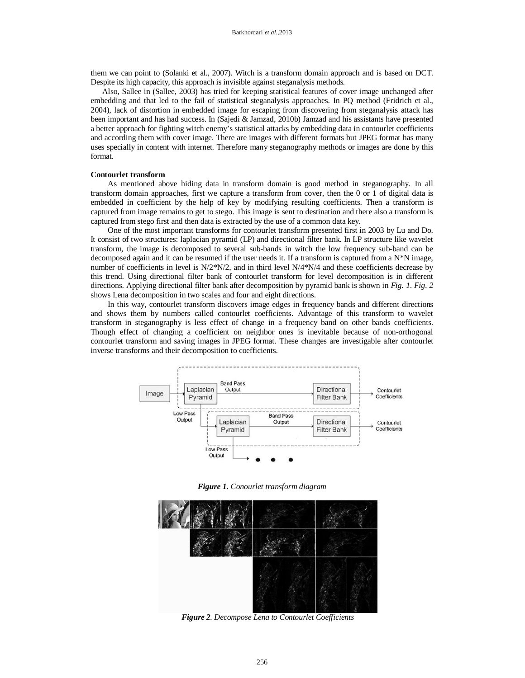them we can point to (Solanki et al., 2007). Witch is a transform domain approach and is based on DCT. Despite its high capacity, this approach is invisible against steganalysis methods.

Also, Sallee in (Sallee, 2003) has tried for keeping statistical features of cover image unchanged after embedding and that led to the fail of statistical steganalysis approaches. In PQ method (Fridrich et al., 2004), lack of distortion in embedded image for escaping from discovering from steganalysis attack has been important and has had success. In (Sajedi & Jamzad, 2010b) Jamzad and his assistants have presented a better approach for fighting witch enemy's statistical attacks by embedding data in contourlet coefficients and according them with cover image. There are images with different formats but JPEG format has many uses specially in content with internet. Therefore many steganography methods or images are done by this format.

## **Contourlet transform**

As mentioned above hiding data in transform domain is good method in steganography. In all transform domain approaches, first we capture a transform from cover, then the 0 or 1 of digital data is embedded in coefficient by the help of key by modifying resulting coefficients. Then a transform is captured from image remains to get to stego. This image is sent to destination and there also a transform is captured from stego first and then data is extracted by the use of a common data key.

One of the most important transforms for contourlet transform presented first in 2003 by Lu and Do. It consist of two structures: laplacian pyramid (LP) and directional filter bank. In LP structure like wavelet transform, the image is decomposed to several sub-bands in witch the low frequency sub-band can be decomposed again and it can be resumed if the user needs it. If a transform is captured from a N\*N image, number of coefficients in level is  $N/2^N/2$ , and in third level  $N/4^N/4$  and these coefficients decrease by this trend. Using directional filter bank of contourlet transform for level decomposition is in different directions. Applying directional filter bank after decomposition by pyramid bank is shown in *Fig. 1*. *Fig. 2* shows Lena decomposition in two scales and four and eight directions.

In this way, contourlet transform discovers image edges in frequency bands and different directions and shows them by numbers called contourlet coefficients. Advantage of this transform to wavelet transform in steganography is less effect of change in a frequency band on other bands coefficients. Though effect of changing a coefficient on neighbor ones is inevitable because of non-orthogonal contourlet transform and saving images in JPEG format. These changes are investigable after contourlet inverse transforms and their decomposition to coefficients.



*Figure 1. Conourlet transform diagram*



*Figure 2. Decompose Lena to Contourlet Coefficients*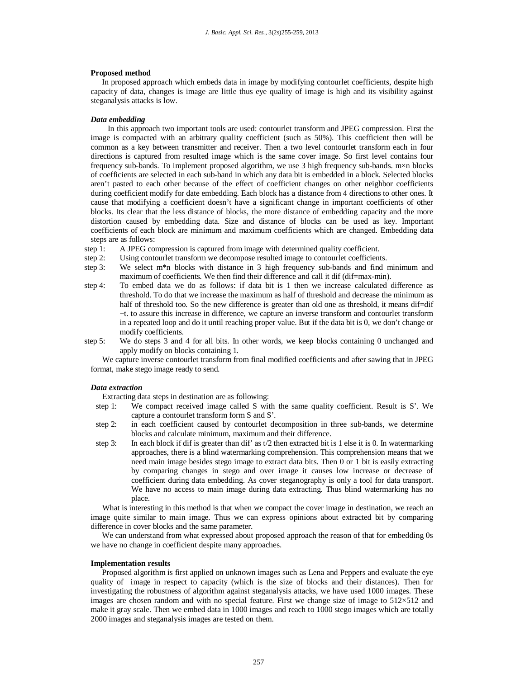#### **Proposed method**

In proposed approach which embeds data in image by modifying contourlet coefficients, despite high capacity of data, changes is image are little thus eye quality of image is high and its visibility against steganalysis attacks is low.

#### *Data embedding*

In this approach two important tools are used: contourlet transform and JPEG compression. First the image is compacted with an arbitrary quality coefficient (such as 50%). This coefficient then will be common as a key between transmitter and receiver. Then a two level contourlet transform each in four directions is captured from resulted image which is the same cover image. So first level contains four frequency sub-bands. To implement proposed algorithm, we use 3 high frequency sub-bands. m×n blocks of coefficients are selected in each sub-band in which any data bit is embedded in a block. Selected blocks aren't pasted to each other because of the effect of coefficient changes on other neighbor coefficients during coefficient modify for date embedding. Each block has a distance from 4 directions to other ones. It cause that modifying a coefficient doesn't have a significant change in important coefficients of other blocks. Its clear that the less distance of blocks, the more distance of embedding capacity and the more distortion caused by embedding data. Size and distance of blocks can be used as key. Important coefficients of each block are minimum and maximum coefficients which are changed. Embedding data steps are as follows:<br>step 1: A JPEG con

- A JPEG compression is captured from image with determined quality coefficient.
- step 2: Using contourlet transform we decompose resulted image to contourlet coefficients.<br>step 3: We select m<sup>\*</sup>n blocks with distance in 3 high frequency sub-bands and find in
- We select m<sup>\*</sup>n blocks with distance in 3 high frequency sub-bands and find minimum and maximum of coefficients. We then find their difference and call it dif (dif=max-min).
- step 4: To embed data we do as follows: if data bit is 1 then we increase calculated difference as threshold. To do that we increase the maximum as half of threshold and decrease the minimum as half of threshold too. So the new difference is greater than old one as threshold, it means dif-dif +t. to assure this increase in difference, we capture an inverse transform and contourlet transform in a repeated loop and do it until reaching proper value. But if the data bit is 0, we don't change or modify coefficients.
- step 5: We do steps 3 and 4 for all bits. In other words, we keep blocks containing 0 unchanged and apply modify on blocks containing 1.

We capture inverse contourlet transform from final modified coefficients and after sawing that in JPEG format, make stego image ready to send.

#### *Data extraction*

Extracting data steps in destination are as following:

- step 1: We compact received image called S with the same quality coefficient. Result is S'. We capture a contourlet transform form S and S'.
- step 2: in each coefficient caused by contourlet decomposition in three sub-bands, we determine blocks and calculate minimum, maximum and their difference.
- step 3: In each block if dif is greater than dif' as  $t/2$  then extracted bit is 1 else it is 0. In watermarking approaches, there is a blind watermarking comprehension. This comprehension means that we need main image besides stego image to extract data bits. Then 0 or 1 bit is easily extracting by comparing changes in stego and over image it causes low increase or decrease of coefficient during data embedding. As cover steganography is only a tool for data transport. We have no access to main image during data extracting. Thus blind watermarking has no place.

What is interesting in this method is that when we compact the cover image in destination, we reach an image quite similar to main image. Thus we can express opinions about extracted bit by comparing difference in cover blocks and the same parameter.

We can understand from what expressed about proposed approach the reason of that for embedding 0s we have no change in coefficient despite many approaches.

### **Implementation results**

Proposed algorithm is first applied on unknown images such as Lena and Peppers and evaluate the eye quality of image in respect to capacity (which is the size of blocks and their distances). Then for investigating the robustness of algorithm against steganalysis attacks, we have used 1000 images. These images are chosen random and with no special feature. First we change size of image to 512×512 and make it gray scale. Then we embed data in 1000 images and reach to 1000 stego images which are totally 2000 images and steganalysis images are tested on them.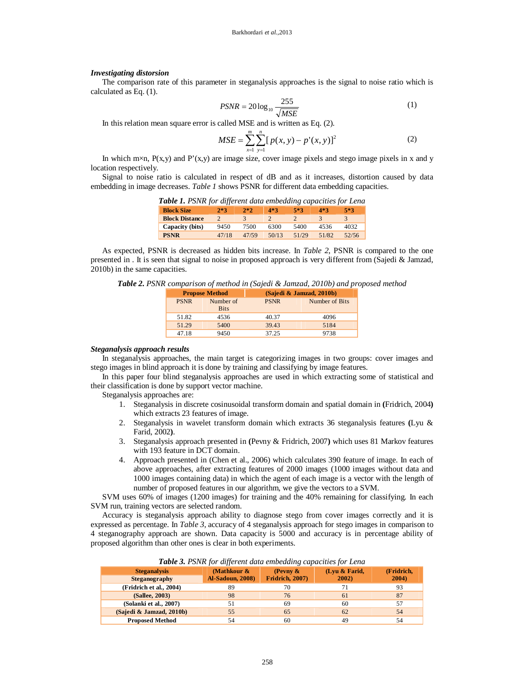#### *Investigating distorsion*

The comparison rate of this parameter in steganalysis approaches is the signal to noise ratio which is calculated as Eq. (1).

$$
PSNR = 20\log_{10}\frac{255}{\sqrt{MSE}}
$$
 (1)

In this relation mean square error is called MSE and is written as Eq. (2).

$$
MSE = \sum_{x=1}^{m} \sum_{y=1}^{n} [p(x, y) - p'(x, y)]^2
$$
 (2)

In which m×n,  $P(x,y)$  and  $P'(x,y)$  are image size, cover image pixels and stego image pixels in x and y location respectively.

Signal to noise ratio is calculated in respect of dB and as it increases, distortion caused by data embedding in image decreases. *Table 1* shows PSNR for different data embedding capacities.

|  | Table 1. PSNR for different data embedding capacities for Lena |  |  |
|--|----------------------------------------------------------------|--|--|
|  |                                                                |  |  |

| <b>Block Size</b>     | $2*3$ | $2*2$ | 4*3   | 5*3   | 4*3   | $5*3$ |
|-----------------------|-------|-------|-------|-------|-------|-------|
| <b>Block Distance</b> |       |       |       |       |       |       |
| Capacity (bits)       | 9450  | 7500  | 6300  | 5400  | 4536  | 4032  |
| <b>PSNR</b>           | 47/18 | 47/59 | 50/13 | 51/29 | 51/82 | 52/56 |

As expected, PSNR is decreased as hidden bits increase. In *Table 2*, PSNR is compared to the one presented in . It is seen that signal to noise in proposed approach is very different from (Sajedi & Jamzad, 2010b) in the same capacities.

*Table 2. PSNR comparison of method in (Sajedi & Jamzad, 2010b) and proposed method*

| <b>Propose Method</b> |                          | (Sajedi & Jamzad, 2010b) |                |  |
|-----------------------|--------------------------|--------------------------|----------------|--|
| <b>PSNR</b>           | Number of<br><b>Bits</b> | <b>PSNR</b>              | Number of Bits |  |
| 51.82                 | 4536                     | 40.37                    | 4096           |  |
| 51.29                 | 5400                     | 39.43                    | 5184           |  |
| 47.18                 | 9450                     | 37.25                    | 9738           |  |

## *Steganalysis approach results*

In steganalysis approaches, the main target is categorizing images in two groups: cover images and stego images in blind approach it is done by training and classifying by image features.

In this paper four blind steganalysis approaches are used in which extracting some of statistical and their classification is done by support vector machine.

Steganalysis approaches are:

- 1. Steganalysis in discrete cosinusoidal transform domain and spatial domain in **(**Fridrich, 2004**)**  which extracts 23 features of image.
- 2. Steganalysis in wavelet transform domain which extracts 36 steganalysis features **(**Lyu & Farid, 2002**)**.
- 3. Steganalysis approach presented in **(**Pevny & Fridrich, 2007**)** which uses 81 Markov features with 193 feature in DCT domain.
- 4. Approach presented in (Chen et al., 2006) which calculates 390 feature of image. In each of above approaches, after extracting features of 2000 images (1000 images without data and 1000 images containing data) in which the agent of each image is a vector with the length of number of proposed features in our algorithm, we give the vectors to a SVM.

SVM uses 60% of images (1200 images) for training and the 40% remaining for classifying. In each SVM run, training vectors are selected random.

Accuracy is steganalysis approach ability to diagnose stego from cover images correctly and it is expressed as percentage. In *Table 3*, accuracy of 4 steganalysis approach for stego images in comparison to 4 steganography approach are shown. Data capacity is 5000 and accuracy is in percentage ability of proposed algorithm than other ones is clear in both experiments.

| <b>Steganalysis</b><br>Steganography | (Mathkour $\&$<br><b>Al-Sadoun, 2008)</b> | (Pevny $\&$<br><b>Fridrich, 2007)</b> | (Lyu & Farid,<br>2002) | (Fridrich,<br>2004) |
|--------------------------------------|-------------------------------------------|---------------------------------------|------------------------|---------------------|
| (Fridrich et al., 2004)              | 89                                        | 70                                    |                        | 93                  |
| (Sallee, 2003)                       | 98                                        | 76                                    | 61                     | 87                  |
| (Solanki et al., 2007)               | 51                                        | 69                                    | 60                     | 57                  |
| (Sajedi & Jamzad, 2010b)             | 55                                        | 65                                    | 62                     | 54                  |
| <b>Proposed Method</b>               | 54                                        | 60                                    | 49                     | 54                  |

*Table 3. PSNR for different data embedding capacities for Lena*